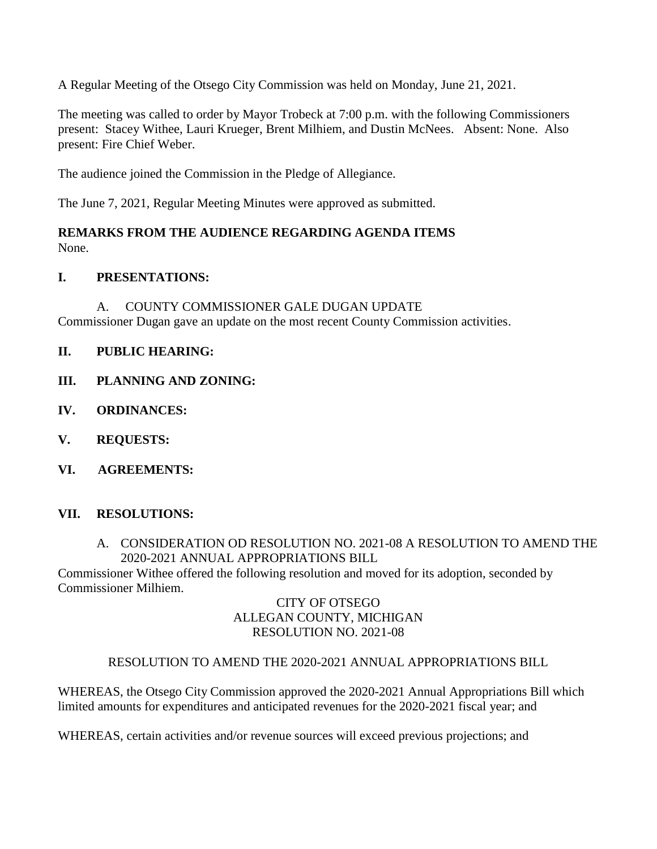A Regular Meeting of the Otsego City Commission was held on Monday, June 21, 2021.

The meeting was called to order by Mayor Trobeck at 7:00 p.m. with the following Commissioners present: Stacey Withee, Lauri Krueger, Brent Milhiem, and Dustin McNees. Absent: None. Also present: Fire Chief Weber.

The audience joined the Commission in the Pledge of Allegiance.

The June 7, 2021, Regular Meeting Minutes were approved as submitted.

### **REMARKS FROM THE AUDIENCE REGARDING AGENDA ITEMS** None.

# **I. PRESENTATIONS:**

A. COUNTY COMMISSIONER GALE DUGAN UPDATE Commissioner Dugan gave an update on the most recent County Commission activities.

- **II. PUBLIC HEARING:**
- **III. PLANNING AND ZONING:**
- **IV. ORDINANCES:**
- **V. REQUESTS:**
- **VI. AGREEMENTS:**

## **VII. RESOLUTIONS:**

## A. CONSIDERATION OD RESOLUTION NO. 2021-08 A RESOLUTION TO AMEND THE 2020-2021 ANNUAL APPROPRIATIONS BILL

Commissioner Withee offered the following resolution and moved for its adoption, seconded by Commissioner Milhiem.

### CITY OF OTSEGO ALLEGAN COUNTY, MICHIGAN RESOLUTION NO. 2021-08

## RESOLUTION TO AMEND THE 2020-2021 ANNUAL APPROPRIATIONS BILL

WHEREAS, the Otsego City Commission approved the 2020-2021 Annual Appropriations Bill which limited amounts for expenditures and anticipated revenues for the 2020-2021 fiscal year; and

WHEREAS, certain activities and/or revenue sources will exceed previous projections; and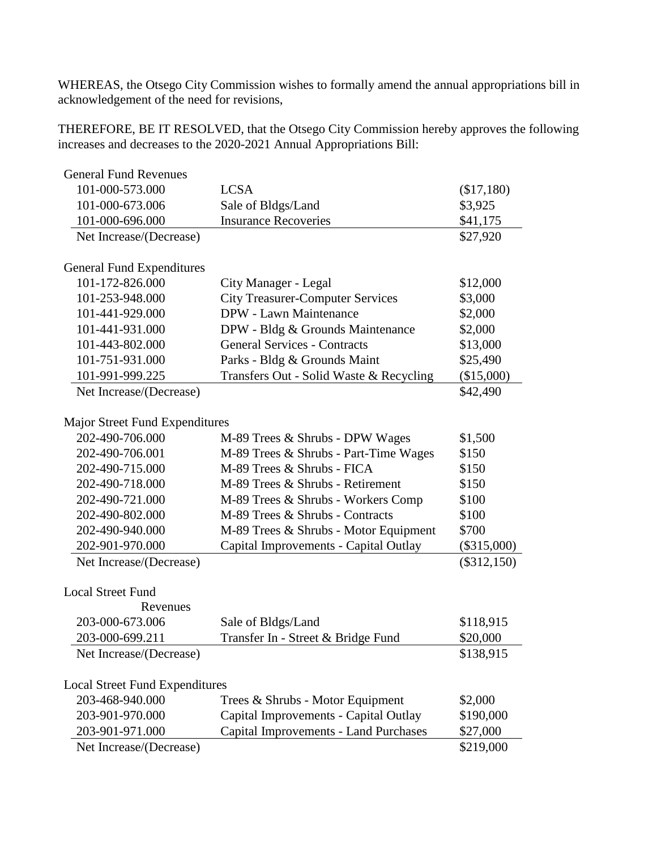WHEREAS, the Otsego City Commission wishes to formally amend the annual appropriations bill in acknowledgement of the need for revisions,

THEREFORE, BE IT RESOLVED, that the Otsego City Commission hereby approves the following increases and decreases to the 2020-2021 Annual Appropriations Bill:

| <b>General Fund Revenues</b>          |                                         |               |  |  |
|---------------------------------------|-----------------------------------------|---------------|--|--|
| 101-000-573.000                       | <b>LCSA</b>                             | (\$17,180)    |  |  |
| 101-000-673.006                       | Sale of Bldgs/Land                      | \$3,925       |  |  |
| 101-000-696.000                       | <b>Insurance Recoveries</b>             | \$41,175      |  |  |
| Net Increase/(Decrease)               |                                         | \$27,920      |  |  |
|                                       |                                         |               |  |  |
| <b>General Fund Expenditures</b>      |                                         |               |  |  |
| 101-172-826.000                       | City Manager - Legal                    | \$12,000      |  |  |
| 101-253-948.000                       | <b>City Treasurer-Computer Services</b> | \$3,000       |  |  |
| 101-441-929.000                       | DPW - Lawn Maintenance                  | \$2,000       |  |  |
| 101-441-931.000                       | DPW - Bldg & Grounds Maintenance        | \$2,000       |  |  |
| 101-443-802.000                       | <b>General Services - Contracts</b>     | \$13,000      |  |  |
| 101-751-931.000                       | Parks - Bldg & Grounds Maint            | \$25,490      |  |  |
| 101-991-999.225                       | Transfers Out - Solid Waste & Recycling | $(\$15,000)$  |  |  |
| Net Increase/(Decrease)               |                                         | \$42,490      |  |  |
|                                       |                                         |               |  |  |
| Major Street Fund Expenditures        |                                         |               |  |  |
| 202-490-706.000                       | M-89 Trees & Shrubs - DPW Wages         | \$1,500       |  |  |
| 202-490-706.001                       | M-89 Trees & Shrubs - Part-Time Wages   | \$150         |  |  |
| 202-490-715.000                       | M-89 Trees & Shrubs - FICA              | \$150         |  |  |
| 202-490-718.000                       | M-89 Trees & Shrubs - Retirement        | \$150         |  |  |
| 202-490-721.000                       | M-89 Trees & Shrubs - Workers Comp      | \$100         |  |  |
| 202-490-802.000                       | M-89 Trees & Shrubs - Contracts         | \$100         |  |  |
| 202-490-940.000                       | M-89 Trees & Shrubs - Motor Equipment   | \$700         |  |  |
| 202-901-970.000                       | Capital Improvements - Capital Outlay   | $(\$315,000)$ |  |  |
| Net Increase/(Decrease)               |                                         | $(\$312,150)$ |  |  |
|                                       |                                         |               |  |  |
| <b>Local Street Fund</b>              |                                         |               |  |  |
| Revenues                              |                                         |               |  |  |
| 203-000-673.006                       | Sale of Bldgs/Land                      | \$118,915     |  |  |
| 203-000-699.211                       | Transfer In - Street & Bridge Fund      | \$20,000      |  |  |
| Net Increase/(Decrease)               |                                         | \$138,915     |  |  |
|                                       |                                         |               |  |  |
| <b>Local Street Fund Expenditures</b> |                                         |               |  |  |
| 203-468-940.000                       | Trees & Shrubs - Motor Equipment        | \$2,000       |  |  |
| 203-901-970.000                       | Capital Improvements - Capital Outlay   | \$190,000     |  |  |
| 203-901-971.000                       | Capital Improvements - Land Purchases   | \$27,000      |  |  |
| Net Increase/(Decrease)               |                                         | \$219,000     |  |  |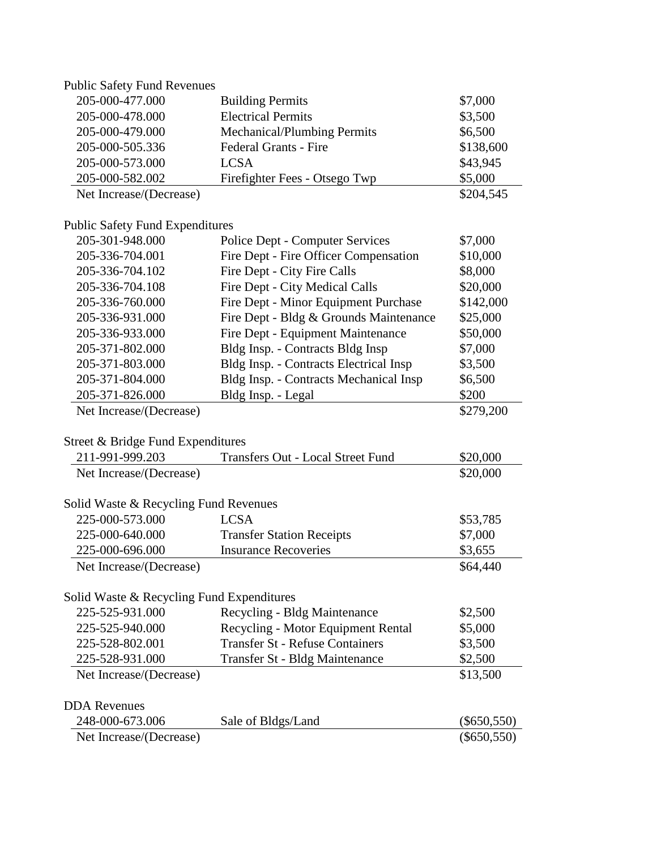| <b>Public Safety Fund Revenues</b>        |                                        |               |
|-------------------------------------------|----------------------------------------|---------------|
| 205-000-477.000                           | <b>Building Permits</b>                | \$7,000       |
| 205-000-478.000                           | <b>Electrical Permits</b>              | \$3,500       |
| 205-000-479.000                           | Mechanical/Plumbing Permits            | \$6,500       |
| 205-000-505.336                           | <b>Federal Grants - Fire</b>           | \$138,600     |
| 205-000-573.000                           | <b>LCSA</b>                            | \$43,945      |
| 205-000-582.002                           | Firefighter Fees - Otsego Twp          | \$5,000       |
| Net Increase/(Decrease)                   |                                        | \$204,545     |
| <b>Public Safety Fund Expenditures</b>    |                                        |               |
| 205-301-948.000                           | Police Dept - Computer Services        | \$7,000       |
| 205-336-704.001                           | Fire Dept - Fire Officer Compensation  | \$10,000      |
| 205-336-704.102                           | Fire Dept - City Fire Calls            | \$8,000       |
| 205-336-704.108                           | Fire Dept - City Medical Calls         | \$20,000      |
| 205-336-760.000                           | Fire Dept - Minor Equipment Purchase   | \$142,000     |
| 205-336-931.000                           | Fire Dept - Bldg & Grounds Maintenance | \$25,000      |
| 205-336-933.000                           | Fire Dept - Equipment Maintenance      | \$50,000      |
| 205-371-802.000                           | Bldg Insp. - Contracts Bldg Insp       | \$7,000       |
| 205-371-803.000                           | Bldg Insp. - Contracts Electrical Insp | \$3,500       |
| 205-371-804.000                           | Bldg Insp. - Contracts Mechanical Insp | \$6,500       |
| 205-371-826.000                           | Bldg Insp. - Legal                     | \$200         |
| Net Increase/(Decrease)                   |                                        | \$279,200     |
| Street & Bridge Fund Expenditures         |                                        |               |
| 211-991-999.203                           | Transfers Out - Local Street Fund      | \$20,000      |
| Net Increase/(Decrease)                   |                                        | \$20,000      |
| Solid Waste & Recycling Fund Revenues     |                                        |               |
| 225-000-573.000                           | <b>LCSA</b>                            | \$53,785      |
| 225-000-640.000                           | <b>Transfer Station Receipts</b>       | \$7,000       |
| 225-000-696.000                           | <b>Insurance Recoveries</b>            | \$3,655       |
| Net Increase/(Decrease)                   |                                        | \$64,440      |
| Solid Waste & Recycling Fund Expenditures |                                        |               |
| 225-525-931.000                           | Recycling - Bldg Maintenance           | \$2,500       |
| 225-525-940.000                           | Recycling - Motor Equipment Rental     | \$5,000       |
| 225-528-802.001                           | <b>Transfer St - Refuse Containers</b> | \$3,500       |
| 225-528-931.000                           | Transfer St - Bldg Maintenance         | \$2,500       |
| Net Increase/(Decrease)                   |                                        | \$13,500      |
| <b>DDA</b> Revenues                       |                                        |               |
| 248-000-673.006                           | Sale of Bldgs/Land                     | $(\$650,550)$ |
| Net Increase/(Decrease)                   |                                        | $(\$650,550)$ |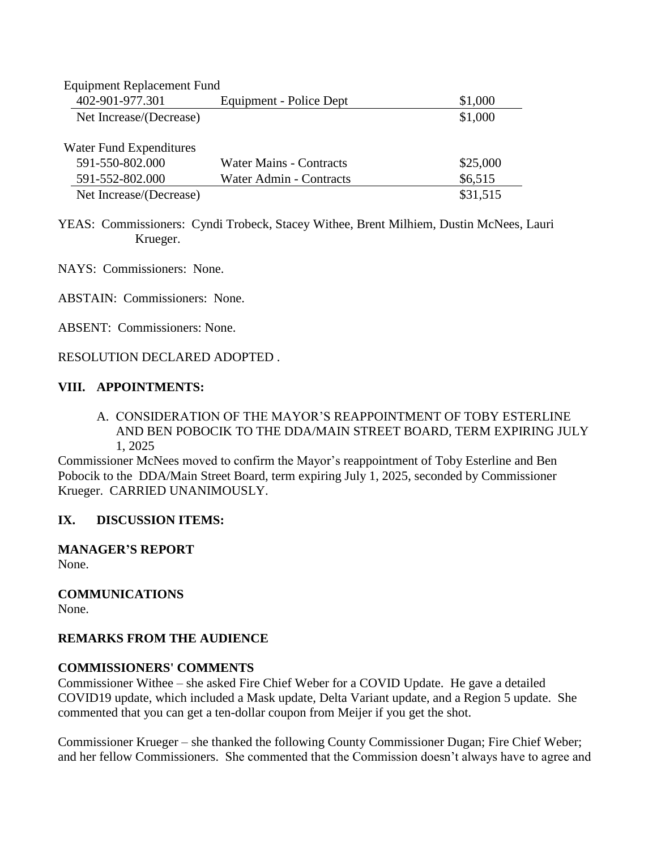| <b>Equipment Replacement Fund</b> |                         |          |  |  |
|-----------------------------------|-------------------------|----------|--|--|
| 402-901-977.301                   | Equipment - Police Dept | \$1,000  |  |  |
| Net Increase/(Decrease)           |                         | \$1,000  |  |  |
| Water Fund Expenditures           |                         |          |  |  |
| 591-550-802.000                   | Water Mains - Contracts | \$25,000 |  |  |
| 591-552-802.000                   | Water Admin - Contracts | \$6,515  |  |  |
| Net Increase/(Decrease)           |                         | \$31,515 |  |  |

YEAS: Commissioners: Cyndi Trobeck, Stacey Withee, Brent Milhiem, Dustin McNees, Lauri Krueger.

NAYS: Commissioners: None.

ABSTAIN: Commissioners: None.

ABSENT: Commissioners: None.

#### RESOLUTION DECLARED ADOPTED .

#### **VIII. APPOINTMENTS:**

A. CONSIDERATION OF THE MAYOR'S REAPPOINTMENT OF TOBY ESTERLINE AND BEN POBOCIK TO THE DDA/MAIN STREET BOARD, TERM EXPIRING JULY 1, 2025

Commissioner McNees moved to confirm the Mayor's reappointment of Toby Esterline and Ben Pobocik to the DDA/Main Street Board, term expiring July 1, 2025, seconded by Commissioner Krueger. CARRIED UNANIMOUSLY.

### **IX. DISCUSSION ITEMS:**

**MANAGER'S REPORT** None.

**COMMUNICATIONS** None.

### **REMARKS FROM THE AUDIENCE**

#### **COMMISSIONERS' COMMENTS**

Commissioner Withee – she asked Fire Chief Weber for a COVID Update. He gave a detailed COVID19 update, which included a Mask update, Delta Variant update, and a Region 5 update. She commented that you can get a ten-dollar coupon from Meijer if you get the shot.

Commissioner Krueger – she thanked the following County Commissioner Dugan; Fire Chief Weber; and her fellow Commissioners. She commented that the Commission doesn't always have to agree and